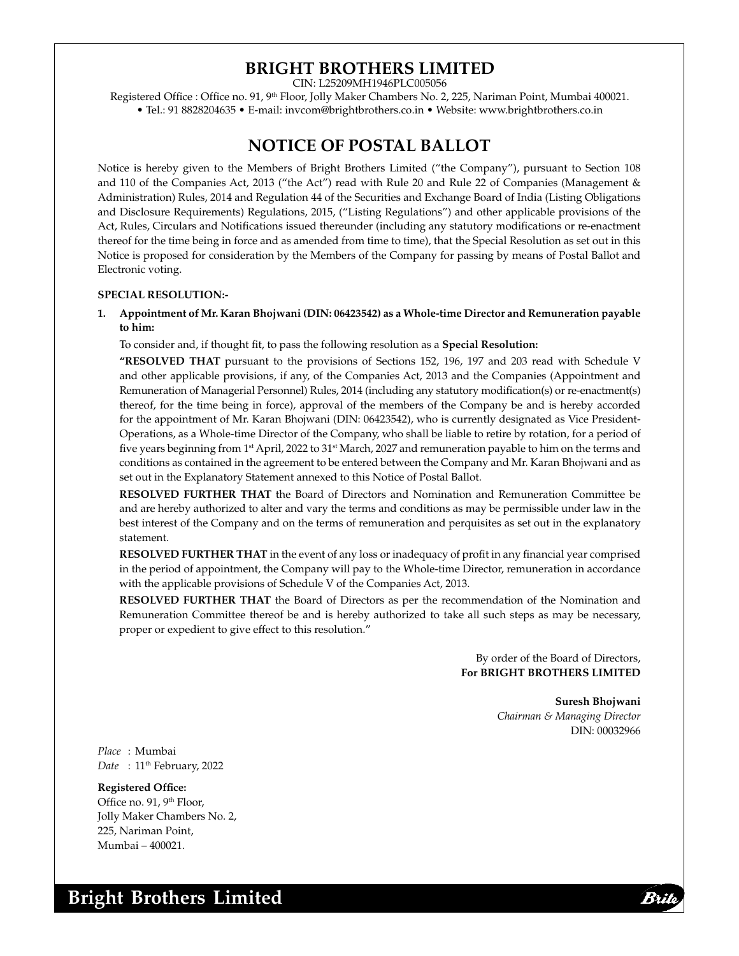# **BRIGHT BROTHERS LIMITED**

CIN: L25209MH1946PLC005056

Registered Office : Office no. 91, 9<sup>th</sup> Floor, Jolly Maker Chambers No. 2, 225, Nariman Point, Mumbai 400021. • Tel.: 91 8828204635 • E-mail: invcom@brightbrothers.co.in • Website: www.brightbrothers.co.in

## **NOTICE OF POSTAL BALLOT**

Notice is hereby given to the Members of Bright Brothers Limited ("the Company"), pursuant to Section 108 and 110 of the Companies Act, 2013 ("the Act") read with Rule 20 and Rule 22 of Companies (Management & Administration) Rules, 2014 and Regulation 44 of the Securities and Exchange Board of India (Listing Obligations and Disclosure Requirements) Regulations, 2015, ("Listing Regulations") and other applicable provisions of the Act, Rules, Circulars and Notifications issued thereunder (including any statutory modifications or re-enactment thereof for the time being in force and as amended from time to time), that the Special Resolution as set out in this Notice is proposed for consideration by the Members of the Company for passing by means of Postal Ballot and Electronic voting.

#### **SPECIAL RESOLUTION:-**

**1. Appointment of Mr. Karan Bhojwani (DIN: 06423542) as a Whole-time Director and Remuneration payable to him:**

To consider and, if thought fit, to pass the following resolution as a **Special Resolution:**

 **"RESOLVED THAT** pursuant to the provisions of Sections 152, 196, 197 and 203 read with Schedule V and other applicable provisions, if any, of the Companies Act, 2013 and the Companies (Appointment and Remuneration of Managerial Personnel) Rules, 2014 (including any statutory modification(s) or re-enactment(s) thereof, for the time being in force), approval of the members of the Company be and is hereby accorded for the appointment of Mr. Karan Bhojwani (DIN: 06423542), who is currently designated as Vice President-Operations, as a Whole-time Director of the Company, who shall be liable to retire by rotation, for a period of five years beginning from 1<sup>st</sup> April, 2022 to 31<sup>st</sup> March, 2027 and remuneration payable to him on the terms and conditions as contained in the agreement to be entered between the Company and Mr. Karan Bhojwani and as set out in the Explanatory Statement annexed to this Notice of Postal Ballot.

**RESOLVED FURTHER THAT** the Board of Directors and Nomination and Remuneration Committee be and are hereby authorized to alter and vary the terms and conditions as may be permissible under law in the best interest of the Company and on the terms of remuneration and perquisites as set out in the explanatory statement.

 **RESOLVED FURTHER THAT** in the event of any loss or inadequacy of profit in any financial year comprised in the period of appointment, the Company will pay to the Whole-time Director, remuneration in accordance with the applicable provisions of Schedule V of the Companies Act, 2013.

**RESOLVED FURTHER THAT** the Board of Directors as per the recommendation of the Nomination and Remuneration Committee thereof be and is hereby authorized to take all such steps as may be necessary, proper or expedient to give effect to this resolution."

> By order of the Board of Directors, **For BRIGHT BROTHERS LIMITED**

> > **Suresh Bhojwani** *Chairman & Managing Director* DIN: 00032966

*Place* : Mumbai Date : 11<sup>th</sup> February, 2022

**Registered Office:** Office no. 91, 9th Floor, Jolly Maker Chambers No. 2, 225, Nariman Point, Mumbai – 400021.

BA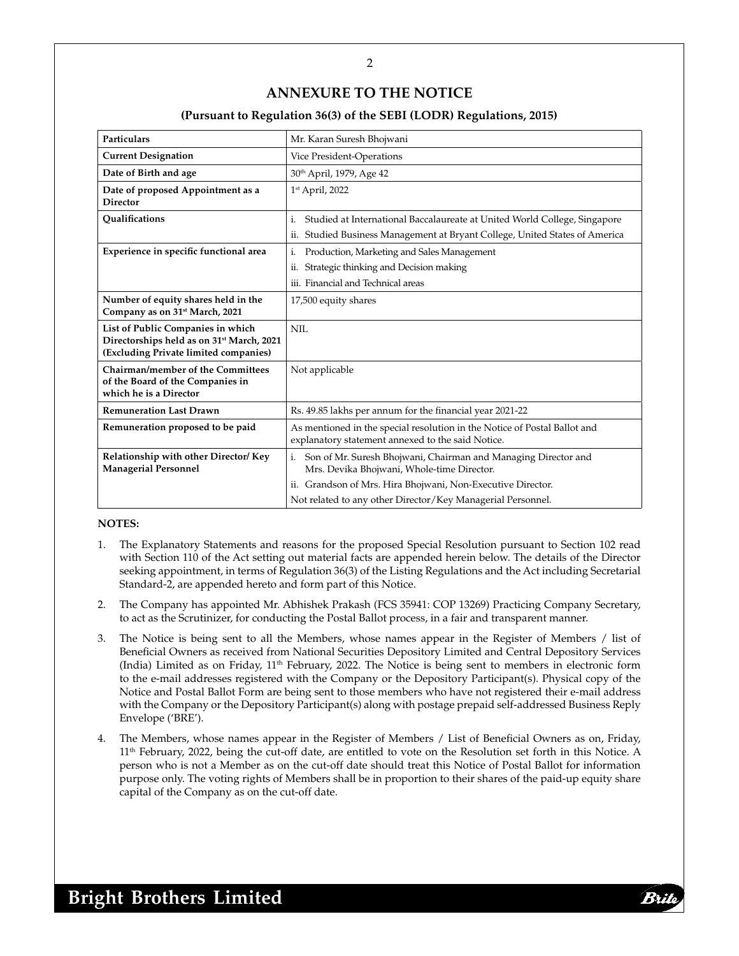## **ANNEXURE TO THE NOTICE**

#### **(Pursuant to Regulation 36(3) of the SEBI (LODR) Regulations, 2015)**

| <b>Particulars</b>                                                                                                                  | Mr. Karan Suresh Bhojwani                                                                                                      |
|-------------------------------------------------------------------------------------------------------------------------------------|--------------------------------------------------------------------------------------------------------------------------------|
| <b>Current Designation</b>                                                                                                          | Vice President-Operations                                                                                                      |
| Date of Birth and age                                                                                                               | 30 <sup>th</sup> April, 1979, Age 42                                                                                           |
| Date of proposed Appointment as a<br><b>Director</b>                                                                                | 1st April, 2022                                                                                                                |
| Qualifications                                                                                                                      | Studied at International Baccalaureate at United World College, Singapore<br>i.                                                |
|                                                                                                                                     | ii. Studied Business Management at Bryant College, United States of America                                                    |
| Experience in specific functional area                                                                                              | Production, Marketing and Sales Management<br>i.                                                                               |
|                                                                                                                                     | Strategic thinking and Decision making<br>ii.                                                                                  |
|                                                                                                                                     | iii. Financial and Technical areas                                                                                             |
| Number of equity shares held in the<br>Company as on 31 <sup>st</sup> March, 2021                                                   | 17,500 equity shares                                                                                                           |
| List of Public Companies in which<br>Directorships held as on 31 <sup>st</sup> March, 2021<br>(Excluding Private limited companies) | NII.                                                                                                                           |
| Chairman/member of the Committees<br>of the Board of the Companies in<br>which he is a Director                                     | Not applicable                                                                                                                 |
| <b>Remuneration Last Drawn</b>                                                                                                      | Rs. 49.85 lakhs per annum for the financial year 2021-22                                                                       |
| Remuneration proposed to be paid                                                                                                    | As mentioned in the special resolution in the Notice of Postal Ballot and<br>explanatory statement annexed to the said Notice. |
| Relationship with other Director/ Key<br><b>Managerial Personnel</b>                                                                | Son of Mr. Suresh Bhojwani, Chairman and Managing Director and<br>i.<br>Mrs. Devika Bhojwani, Whole-time Director.             |
|                                                                                                                                     | Grandson of Mrs. Hira Bhojwani, Non-Executive Director.<br>11.                                                                 |
|                                                                                                                                     | Not related to any other Director/Key Managerial Personnel.                                                                    |

#### **NOTES:**

- 1. The Explanatory Statements and reasons for the proposed Special Resolution pursuant to Section 102 read with Section 110 of the Act setting out material facts are appended herein below. The details of the Director seeking appointment, in terms of Regulation 36(3) of the Listing Regulations and the Act including Secretarial Standard-2, are appended hereto and form part of this Notice.
- 2. The Company has appointed Mr. Abhishek Prakash (FCS 35941: COP 13269) Practicing Company Secretary, to act as the Scrutinizer, for conducting the Postal Ballot process, in a fair and transparent manner.
- 3. The Notice is being sent to all the Members, whose names appear in the Register of Members / list of Beneficial Owners as received from National Securities Depository Limited and Central Depository Services (India) Limited as on Friday,  $11<sup>th</sup>$  February, 2022. The Notice is being sent to members in electronic form to the e-mail addresses registered with the Company or the Depository Participant(s). Physical copy of the Notice and Postal Ballot Form are being sent to those members who have not registered their e-mail address with the Company or the Depository Participant(s) along with postage prepaid self-addressed Business Reply Envelope ('BRE').
- 4. The Members, whose names appear in the Register of Members / List of Beneficial Owners as on, Friday, 11th February, 2022, being the cut-off date, are entitled to vote on the Resolution set forth in this Notice. A person who is not a Member as on the cut-off date should treat this Notice of Postal Ballot for information purpose only. The voting rights of Members shall be in proportion to their shares of the paid-up equity share capital of the Company as on the cut-off date.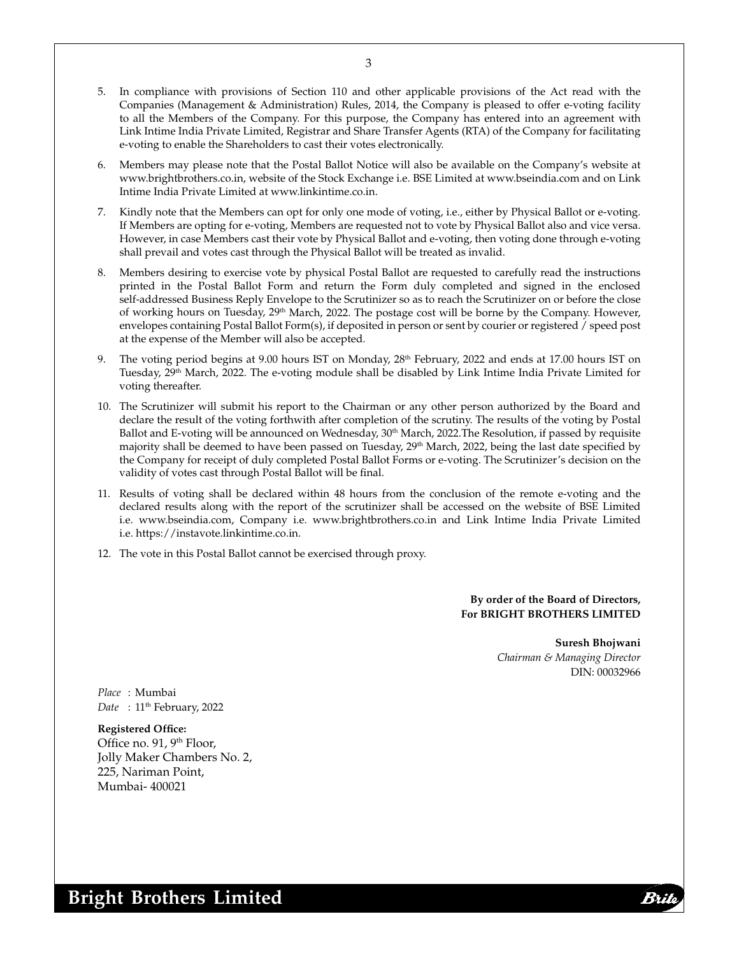- 5. In compliance with provisions of Section 110 and other applicable provisions of the Act read with the Companies (Management & Administration) Rules, 2014, the Company is pleased to offer e-voting facility to all the Members of the Company. For this purpose, the Company has entered into an agreement with Link Intime India Private Limited, Registrar and Share Transfer Agents (RTA) of the Company for facilitating e-voting to enable the Shareholders to cast their votes electronically.
- 6. Members may please note that the Postal Ballot Notice will also be available on the Company's website at www.brightbrothers.co.in, website of the Stock Exchange i.e. BSE Limited at www.bseindia.com and on Link Intime India Private Limited at www.linkintime.co.in.
- Kindly note that the Members can opt for only one mode of voting, i.e., either by Physical Ballot or e-voting. If Members are opting for e-voting, Members are requested not to vote by Physical Ballot also and vice versa. However, in case Members cast their vote by Physical Ballot and e-voting, then voting done through e-voting shall prevail and votes cast through the Physical Ballot will be treated as invalid.
- 8. Members desiring to exercise vote by physical Postal Ballot are requested to carefully read the instructions printed in the Postal Ballot Form and return the Form duly completed and signed in the enclosed self-addressed Business Reply Envelope to the Scrutinizer so as to reach the Scrutinizer on or before the close of working hours on Tuesday, 29<sup>th</sup> March, 2022. The postage cost will be borne by the Company. However, envelopes containing Postal Ballot Form(s), if deposited in person or sent by courier or registered / speed post at the expense of the Member will also be accepted.
- The voting period begins at 9.00 hours IST on Monday, 28<sup>th</sup> February, 2022 and ends at 17.00 hours IST on Tuesday, 29<sup>th</sup> March, 2022. The e-voting module shall be disabled by Link Intime India Private Limited for voting thereafter.
- 10. The Scrutinizer will submit his report to the Chairman or any other person authorized by the Board and declare the result of the voting forthwith after completion of the scrutiny. The results of the voting by Postal Ballot and E-voting will be announced on Wednesday, 30<sup>th</sup> March, 2022. The Resolution, if passed by requisite majority shall be deemed to have been passed on Tuesday, 29<sup>th</sup> March, 2022, being the last date specified by the Company for receipt of duly completed Postal Ballot Forms or e-voting. The Scrutinizer's decision on the validity of votes cast through Postal Ballot will be final.
- 11. Results of voting shall be declared within 48 hours from the conclusion of the remote e-voting and the declared results along with the report of the scrutinizer shall be accessed on the website of BSE Limited i.e. www.bseindia.com, Company i.e. www.brightbrothers.co.in and Link Intime India Private Limited i.e. https://instavote.linkintime.co.in.
- 12. The vote in this Postal Ballot cannot be exercised through proxy.

**By order of the Board of Directors, For BRIGHT BROTHERS LIMITED**

> **Suresh Bhojwani** *Chairman & Managing Director* DIN: 00032966

*Place* : Mumbai Date : 11<sup>th</sup> February, 2022

**Registered Office:**  Office no. 91, 9th Floor, Jolly Maker Chambers No. 2, 225, Nariman Point, Mumbai- 400021

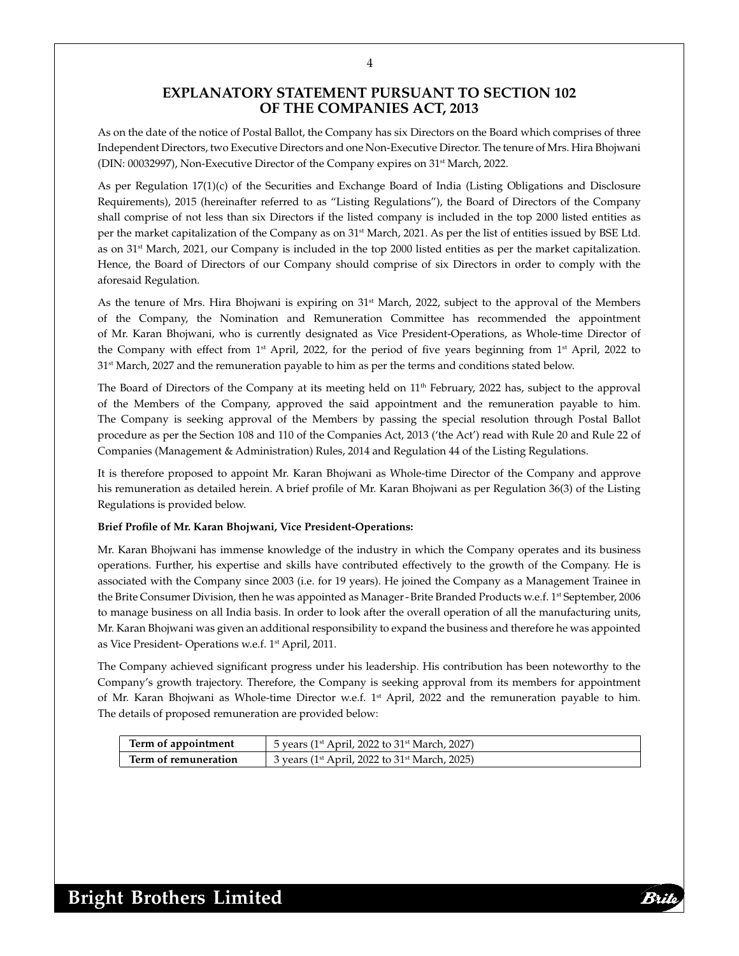## **EXPLANATORY STATEMENT PURSUANT TO SECTION 102 OF THE COMPANIES ACT, 2013**

As on the date of the notice of Postal Ballot, the Company has six Directors on the Board which comprises of three Independent Directors, two Executive Directors and one Non-Executive Director. The tenure of Mrs. Hira Bhojwani (DIN: 00032997), Non-Executive Director of the Company expires on 31st March, 2022.

As per Regulation 17(1)(c) of the Securities and Exchange Board of India (Listing Obligations and Disclosure Requirements), 2015 (hereinafter referred to as "Listing Regulations"), the Board of Directors of the Company shall comprise of not less than six Directors if the listed company is included in the top 2000 listed entities as per the market capitalization of the Company as on 31<sup>st</sup> March, 2021. As per the list of entities issued by BSE Ltd. as on 31<sup>st</sup> March, 2021, our Company is included in the top 2000 listed entities as per the market capitalization. Hence, the Board of Directors of our Company should comprise of six Directors in order to comply with the aforesaid Regulation.

As the tenure of Mrs. Hira Bhojwani is expiring on 31<sup>st</sup> March, 2022, subject to the approval of the Members of the Company, the Nomination and Remuneration Committee has recommended the appointment of Mr. Karan Bhojwani, who is currently designated as Vice President-Operations, as Whole-time Director of the Company with effect from 1<sup>st</sup> April, 2022, for the period of five years beginning from  $1<sup>st</sup>$  April, 2022 to 31st March, 2027 and the remuneration payable to him as per the terms and conditions stated below.

The Board of Directors of the Company at its meeting held on 11<sup>th</sup> February, 2022 has, subject to the approval of the Members of the Company, approved the said appointment and the remuneration payable to him. The Company is seeking approval of the Members by passing the special resolution through Postal Ballot procedure as per the Section 108 and 110 of the Companies Act, 2013 ('the Act') read with Rule 20 and Rule 22 of Companies (Management & Administration) Rules, 2014 and Regulation 44 of the Listing Regulations.

It is therefore proposed to appoint Mr. Karan Bhojwani as Whole-time Director of the Company and approve his remuneration as detailed herein. A brief profile of Mr. Karan Bhojwani as per Regulation 36(3) of the Listing Regulations is provided below.

#### **Brief Profile of Mr. Karan Bhojwani, Vice President-Operations:**

Mr. Karan Bhojwani has immense knowledge of the industry in which the Company operates and its business operations. Further, his expertise and skills have contributed effectively to the growth of the Company. He is associated with the Company since 2003 (i.e. for 19 years). He joined the Company as a Management Trainee in the Brite Consumer Division, then he was appointed as Manager-Brite Branded Products w.e.f. 1<sup>st</sup> September, 2006 to manage business on all India basis. In order to look after the overall operation of all the manufacturing units, Mr. Karan Bhojwani was given an additional responsibility to expand the business and therefore he was appointed as Vice President- Operations w.e.f. 1st April, 2011.

The Company achieved significant progress under his leadership. His contribution has been noteworthy to the Company's growth trajectory. Therefore, the Company is seeking approval from its members for appointment of Mr. Karan Bhojwani as Whole-time Director w.e.f. 1<sup>st</sup> April, 2022 and the remuneration payable to him. The details of proposed remuneration are provided below:

| Term of appointment  | 5 years (1 <sup>st</sup> April, 2022 to 31 <sup>st</sup> March, 2027) |
|----------------------|-----------------------------------------------------------------------|
| Term of remuneration | 3 years (1 <sup>st</sup> April, 2022 to 31 <sup>st</sup> March, 2025) |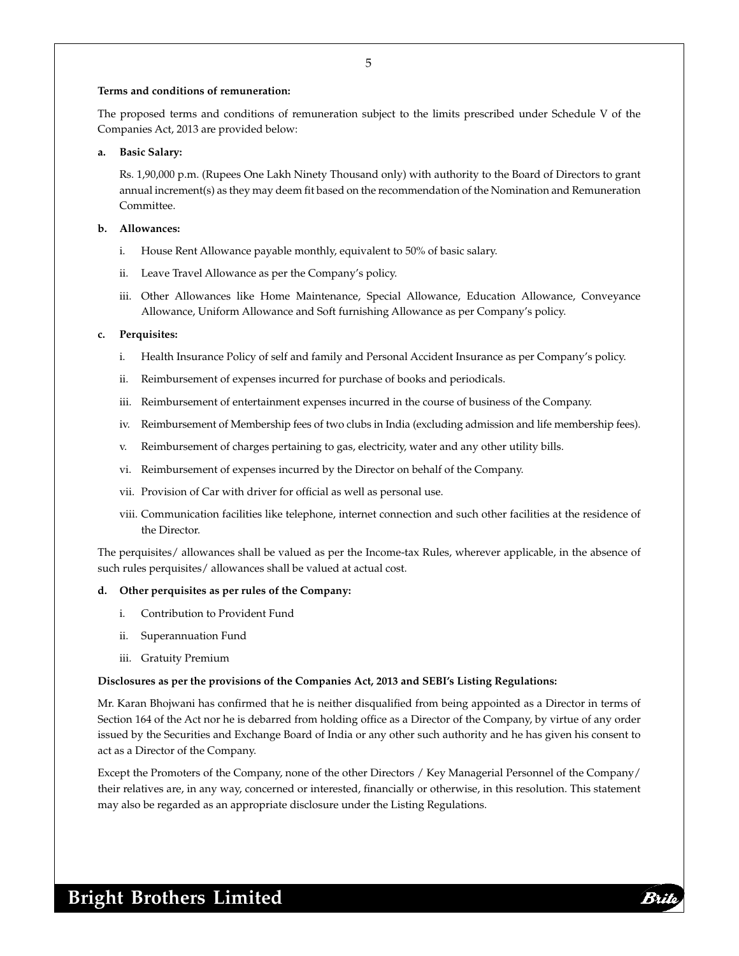#### **Terms and conditions of remuneration:**

The proposed terms and conditions of remuneration subject to the limits prescribed under Schedule V of the Companies Act, 2013 are provided below:

#### **a. Basic Salary:**

 Rs. 1,90,000 p.m. (Rupees One Lakh Ninety Thousand only) with authority to the Board of Directors to grant annual increment(s) as they may deem fit based on the recommendation of the Nomination and Remuneration Committee.

#### **b. Allowances:**

- i. House Rent Allowance payable monthly, equivalent to 50% of basic salary.
- ii. Leave Travel Allowance as per the Company's policy.
- iii. Other Allowances like Home Maintenance, Special Allowance, Education Allowance, Conveyance Allowance, Uniform Allowance and Soft furnishing Allowance as per Company's policy.

#### **c. Perquisites:**

- i. Health Insurance Policy of self and family and Personal Accident Insurance as per Company's policy.
- ii. Reimbursement of expenses incurred for purchase of books and periodicals.
- iii. Reimbursement of entertainment expenses incurred in the course of business of the Company.
- iv. Reimbursement of Membership fees of two clubs in India (excluding admission and life membership fees).
- v. Reimbursement of charges pertaining to gas, electricity, water and any other utility bills.
- vi. Reimbursement of expenses incurred by the Director on behalf of the Company.
- vii. Provision of Car with driver for official as well as personal use.
- viii. Communication facilities like telephone, internet connection and such other facilities at the residence of the Director.

The perquisites/ allowances shall be valued as per the Income-tax Rules, wherever applicable, in the absence of such rules perquisites/ allowances shall be valued at actual cost.

#### **d. Other perquisites as per rules of the Company:**

- i. Contribution to Provident Fund
- ii. Superannuation Fund
- iii. Gratuity Premium

#### **Disclosures as per the provisions of the Companies Act, 2013 and SEBI's Listing Regulations:**

Mr. Karan Bhojwani has confirmed that he is neither disqualified from being appointed as a Director in terms of Section 164 of the Act nor he is debarred from holding office as a Director of the Company, by virtue of any order issued by the Securities and Exchange Board of India or any other such authority and he has given his consent to act as a Director of the Company.

Except the Promoters of the Company, none of the other Directors / Key Managerial Personnel of the Company/ their relatives are, in any way, concerned or interested, financially or otherwise, in this resolution. This statement may also be regarded as an appropriate disclosure under the Listing Regulations.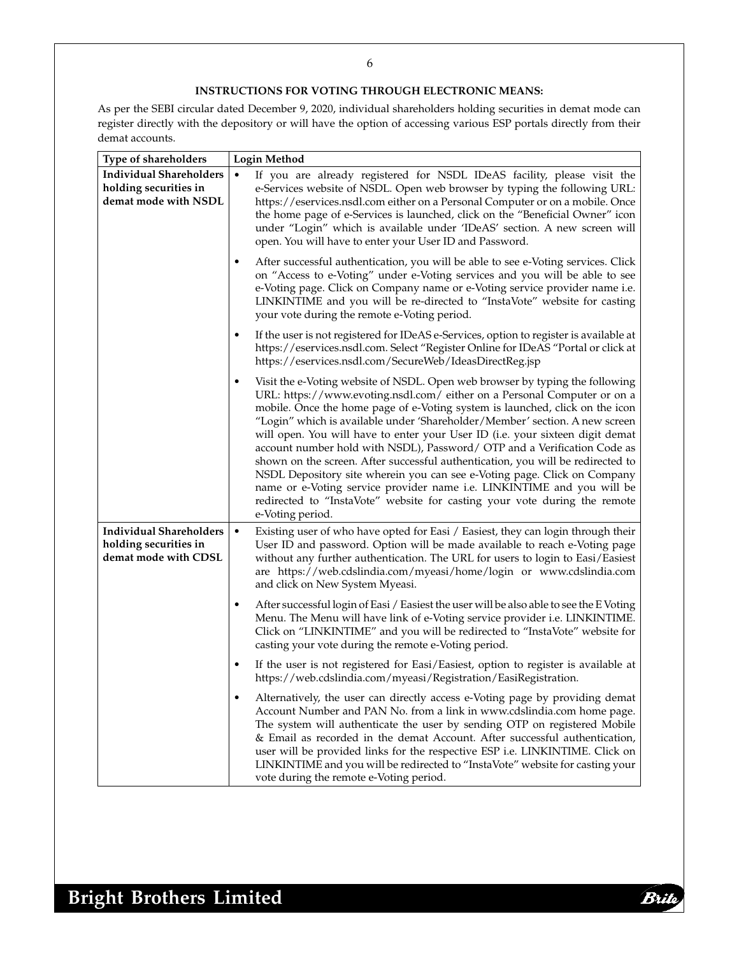### 6

## **INSTRUCTIONS FOR VOTING THROUGH ELECTRONIC MEANS:**

As per the SEBI circular dated December 9, 2020, individual shareholders holding securities in demat mode can register directly with the depository or will have the option of accessing various ESP portals directly from their demat accounts.

| <b>Type of shareholders</b>                                                     | Login Method |                                                                                                                                                                                                                                                                                                                                                                                                                                                                                                                                                                                                                                                                                                                                                                                                                                       |
|---------------------------------------------------------------------------------|--------------|---------------------------------------------------------------------------------------------------------------------------------------------------------------------------------------------------------------------------------------------------------------------------------------------------------------------------------------------------------------------------------------------------------------------------------------------------------------------------------------------------------------------------------------------------------------------------------------------------------------------------------------------------------------------------------------------------------------------------------------------------------------------------------------------------------------------------------------|
| <b>Individual Shareholders</b><br>holding securities in<br>demat mode with NSDL | $\bullet$    | If you are already registered for NSDL IDeAS facility, please visit the<br>e-Services website of NSDL. Open web browser by typing the following URL:<br>https://eservices.nsdl.com either on a Personal Computer or on a mobile. Once<br>the home page of e-Services is launched, click on the "Beneficial Owner" icon<br>under "Login" which is available under 'IDeAS' section. A new screen will<br>open. You will have to enter your User ID and Password.                                                                                                                                                                                                                                                                                                                                                                        |
|                                                                                 | $\bullet$    | After successful authentication, you will be able to see e-Voting services. Click<br>on "Access to e-Voting" under e-Voting services and you will be able to see<br>e-Voting page. Click on Company name or e-Voting service provider name i.e.<br>LINKINTIME and you will be re-directed to "InstaVote" website for casting<br>your vote during the remote e-Voting period.                                                                                                                                                                                                                                                                                                                                                                                                                                                          |
|                                                                                 | $\bullet$    | If the user is not registered for IDeAS e-Services, option to register is available at<br>https://eservices.nsdl.com. Select "Register Online for IDeAS "Portal or click at<br>https://eservices.nsdl.com/SecureWeb/IdeasDirectReg.jsp                                                                                                                                                                                                                                                                                                                                                                                                                                                                                                                                                                                                |
|                                                                                 | ٠            | Visit the e-Voting website of NSDL. Open web browser by typing the following<br>URL: https://www.evoting.nsdl.com/ either on a Personal Computer or on a<br>mobile. Once the home page of e-Voting system is launched, click on the icon<br>"Login" which is available under 'Shareholder/Member' section. A new screen<br>will open. You will have to enter your User ID (i.e. your sixteen digit demat<br>account number hold with NSDL), Password/ OTP and a Verification Code as<br>shown on the screen. After successful authentication, you will be redirected to<br>NSDL Depository site wherein you can see e-Voting page. Click on Company<br>name or e-Voting service provider name <i>i.e.</i> LINKINTIME and you will be<br>redirected to "InstaVote" website for casting your vote during the remote<br>e-Voting period. |
| <b>Individual Shareholders</b><br>holding securities in<br>demat mode with CDSL | $\bullet$    | Existing user of who have opted for Easi / Easiest, they can login through their<br>User ID and password. Option will be made available to reach e-Voting page<br>without any further authentication. The URL for users to login to Easi/Easiest<br>are https://web.cdslindia.com/myeasi/home/login or www.cdslindia.com<br>and click on New System Myeasi.                                                                                                                                                                                                                                                                                                                                                                                                                                                                           |
|                                                                                 | $\bullet$    | After successful login of Easi / Easiest the user will be also able to see the E Voting<br>Menu. The Menu will have link of e-Voting service provider <i>i.e.</i> LINKINTIME.<br>Click on "LINKINTIME" and you will be redirected to "InstaVote" website for<br>casting your vote during the remote e-Voting period.                                                                                                                                                                                                                                                                                                                                                                                                                                                                                                                  |
|                                                                                 | $\bullet$    | If the user is not registered for Easi/Easiest, option to register is available at<br>https://web.cdslindia.com/myeasi/Registration/EasiRegistration.                                                                                                                                                                                                                                                                                                                                                                                                                                                                                                                                                                                                                                                                                 |
|                                                                                 | $\bullet$    | Alternatively, the user can directly access e-Voting page by providing demat<br>Account Number and PAN No. from a link in www.cdslindia.com home page.<br>The system will authenticate the user by sending OTP on registered Mobile<br>& Email as recorded in the demat Account. After successful authentication,<br>user will be provided links for the respective ESP i.e. LINKINTIME. Click on<br>LINKINTIME and you will be redirected to "InstaVote" website for casting your<br>vote during the remote e-Voting period.                                                                                                                                                                                                                                                                                                         |

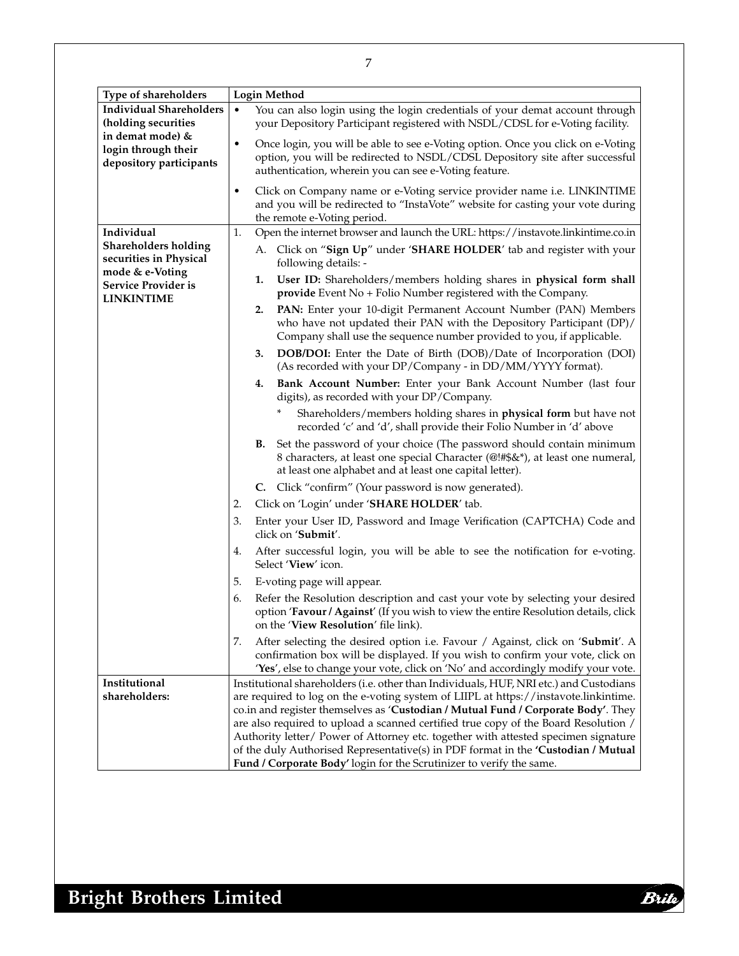| Type of shareholders                                                     | <b>Login Method</b>                                                                                                                                                                                                                                            |
|--------------------------------------------------------------------------|----------------------------------------------------------------------------------------------------------------------------------------------------------------------------------------------------------------------------------------------------------------|
| <b>Individual Shareholders</b><br>(holding securities                    | You can also login using the login credentials of your demat account through<br>$\bullet$<br>your Depository Participant registered with NSDL/CDSL for e-Voting facility.                                                                                      |
| in demat mode) &<br>login through their<br>depository participants       | Once login, you will be able to see e-Voting option. Once you click on e-Voting<br>$\bullet$<br>option, you will be redirected to NSDL/CDSL Depository site after successful<br>authentication, wherein you can see e-Voting feature.                          |
|                                                                          | Click on Company name or e-Voting service provider name i.e. LINKINTIME<br>$\bullet$<br>and you will be redirected to "InstaVote" website for casting your vote during<br>the remote e-Voting period.                                                          |
| Individual                                                               | Open the internet browser and launch the URL: https://instavote.linkintime.co.in<br>1.                                                                                                                                                                         |
| <b>Shareholders holding</b><br>securities in Physical<br>mode & e-Voting | A. Click on "Sign Up" under 'SHARE HOLDER' tab and register with your<br>following details: -                                                                                                                                                                  |
| Service Provider is<br><b>LINKINTIME</b>                                 | User ID: Shareholders/members holding shares in physical form shall<br>1.<br>provide Event No + Folio Number registered with the Company.                                                                                                                      |
|                                                                          | PAN: Enter your 10-digit Permanent Account Number (PAN) Members<br>2.<br>who have not updated their PAN with the Depository Participant (DP)/<br>Company shall use the sequence number provided to you, if applicable.                                         |
|                                                                          | <b>DOB/DOI:</b> Enter the Date of Birth (DOB)/Date of Incorporation (DOI)<br>3.<br>(As recorded with your DP/Company - in DD/MM/YYYY format).                                                                                                                  |
|                                                                          | Bank Account Number: Enter your Bank Account Number (last four<br>4.<br>digits), as recorded with your DP/Company.                                                                                                                                             |
|                                                                          | Shareholders/members holding shares in physical form but have not<br>recorded 'c' and 'd', shall provide their Folio Number in 'd' above                                                                                                                       |
|                                                                          | Set the password of your choice (The password should contain minimum<br>В.<br>8 characters, at least one special Character (@!#\$&*), at least one numeral,<br>at least one alphabet and at least one capital letter).                                         |
|                                                                          | C. Click "confirm" (Your password is now generated).                                                                                                                                                                                                           |
|                                                                          | Click on 'Login' under 'SHARE HOLDER' tab.<br>2.                                                                                                                                                                                                               |
|                                                                          | 3.<br>Enter your User ID, Password and Image Verification (CAPTCHA) Code and<br>click on 'Submit'.                                                                                                                                                             |
|                                                                          | After successful login, you will be able to see the notification for e-voting.<br>4.<br>Select 'View' icon.                                                                                                                                                    |
|                                                                          | 5.<br>E-voting page will appear.                                                                                                                                                                                                                               |
|                                                                          | Refer the Resolution description and cast your vote by selecting your desired<br>6.<br>option 'Favour / Against' (If you wish to view the entire Resolution details, click<br>on the 'View Resolution' file link).                                             |
|                                                                          | After selecting the desired option i.e. Favour / Against, click on 'Submit'. A<br>7.<br>confirmation box will be displayed. If you wish to confirm your vote, click on<br>'Yes', else to change your vote, click on 'No' and accordingly modify your vote.     |
| Institutional                                                            | Institutional shareholders (i.e. other than Individuals, HUF, NRI etc.) and Custodians                                                                                                                                                                         |
| shareholders:                                                            | are required to log on the e-voting system of LIIPL at https://instavote.linkintime.                                                                                                                                                                           |
|                                                                          | co.in and register themselves as 'Custodian / Mutual Fund / Corporate Body'. They                                                                                                                                                                              |
|                                                                          | are also required to upload a scanned certified true copy of the Board Resolution /<br>Authority letter/ Power of Attorney etc. together with attested specimen signature<br>of the duly Authorised Representative(s) in PDF format in the 'Custodian / Mutual |
|                                                                          | Fund / Corporate Body' login for the Scrutinizer to verify the same.                                                                                                                                                                                           |